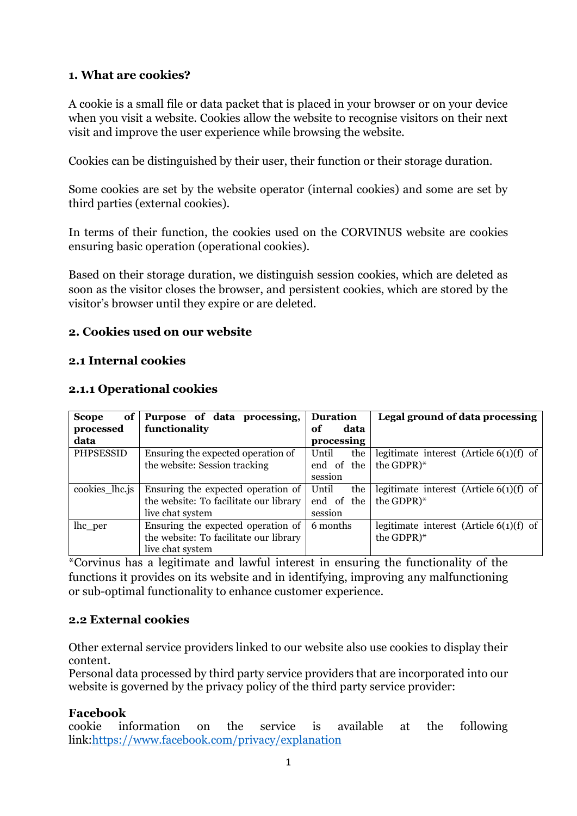# **1. What are cookies?**

A cookie is a small file or data packet that is placed in your browser or on your device when you visit a website. Cookies allow the website to recognise visitors on their next visit and improve the user experience while browsing the website.

Cookies can be distinguished by their user, their function or their storage duration.

Some cookies are set by the website operator (internal cookies) and some are set by third parties (external cookies).

In terms of their function, the cookies used on the CORVINUS website are cookies ensuring basic operation (operational cookies).

Based on their storage duration, we distinguish session cookies, which are deleted as soon as the visitor closes the browser, and persistent cookies, which are stored by the visitor's browser until they expire or are deleted.

# **2. Cookies used on our website**

# **2.1 Internal cookies**

| of<br><b>Scope</b> | Purpose of data processing,            | <b>Duration</b> | Legal ground of data processing           |
|--------------------|----------------------------------------|-----------------|-------------------------------------------|
| processed          | functionality                          | data<br>оf      |                                           |
| data               |                                        | processing      |                                           |
| PHPSESSID          | Ensuring the expected operation of     | the<br>Until    | legitimate interest (Article $6(1)(f)$ of |
|                    | the website: Session tracking          | end of the      | the GDPR $)$ *                            |
|                    |                                        | session         |                                           |
| cookies_lhc.js     | Ensuring the expected operation of     | Until<br>the    | legitimate interest (Article $6(1)(f)$ of |
|                    | the website: To facilitate our library | end of the      | the GDPR $)$ *                            |
|                    | live chat system                       | session         |                                           |
| lhc_per            | Ensuring the expected operation of     | 6 months        | legitimate interest (Article $6(1)(f)$ of |
|                    | the website: To facilitate our library |                 | the GDPR)*                                |
|                    | live chat system                       |                 |                                           |

#### **2.1.1 Operational cookies**

\*Corvinus has a legitimate and lawful interest in ensuring the functionality of the functions it provides on its website and in identifying, improving any malfunctioning or sub-optimal functionality to enhance customer experience.

# **2.2 External cookies**

Other external service providers linked to our website also use cookies to display their content.

Personal data processed by third party service providers that are incorporated into our website is governed by the privacy policy of the third party service provider:

# **Facebook**

cookie information on the service is available at the following link[:https://www.facebook.com/privacy/explanation](https://www.facebook.com/privacy/explanation)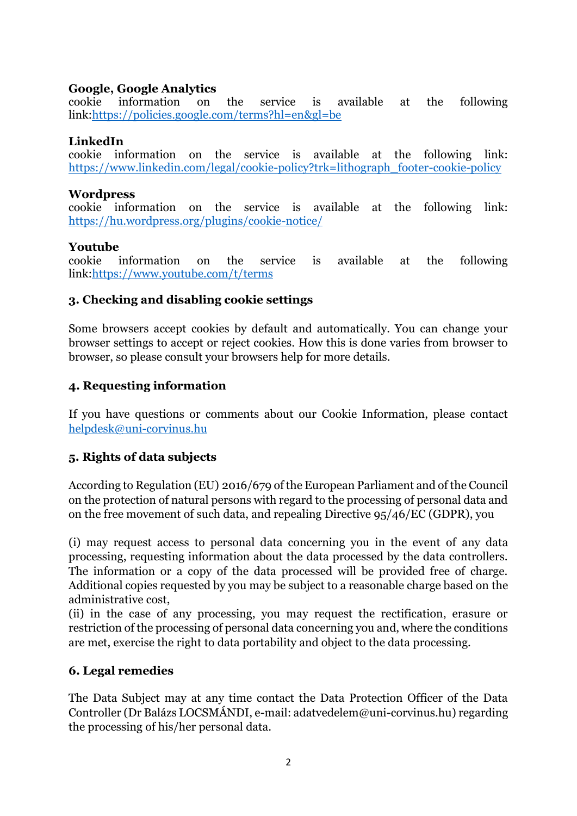# **Google, Google Analytics**

cookie information on the service is available at the following link[:https://policies.google.com/terms?hl=en&gl=be](https://policies.google.com/terms?hl=en&amp;gl=be)

#### **LinkedIn**

cookie information on the service is available at the following link: [https://www.linkedin.com/legal/cookie-policy?trk=lithograph\\_footer-cookie-policy](https://www.linkedin.com/legal/cookie-policy?trk=lithograph_footer-cookie-policy)

#### **Wordpress**

cookie information on the service is available at the following link: <https://hu.wordpress.org/plugins/cookie-notice/>

#### **Youtube**

cookie information on the service is available at the following link[:https://www.youtube.com/t/terms](https://www.youtube.com/t/terms)

# **3. Checking and disabling cookie settings**

Some browsers accept cookies by default and automatically. You can change your browser settings to accept or reject cookies. How this is done varies from browser to browser, so please consult your browsers help for more details.

# **4. Requesting information**

If you have questions or comments about our Cookie Information, please contact [helpdesk@uni-corvinus.hu](mailto:helpdesk@uni-corvinus.hu)

# **5. Rights of data subjects**

According to Regulation (EU) 2016/679 of the European Parliament and of the Council on the protection of natural persons with regard to the processing of personal data and on the free movement of such data, and repealing Directive 95/46/EC (GDPR), you

(i) may request access to personal data concerning you in the event of any data processing, requesting information about the data processed by the data controllers. The information or a copy of the data processed will be provided free of charge. Additional copies requested by you may be subject to a reasonable charge based on the administrative cost,

(ii) in the case of any processing, you may request the rectification, erasure or restriction of the processing of personal data concerning you and, where the conditions are met, exercise the right to data portability and object to the data processing.

# **6. Legal remedies**

The Data Subject may at any time contact the Data Protection Officer of the Data Controller (Dr Balázs LOCSMÁNDI, e-mail: [adatvedelem@uni-corvinus.hu\)](mailto:adatvedelem@uni-corvinus.hu) regarding the processing of his/her personal data.